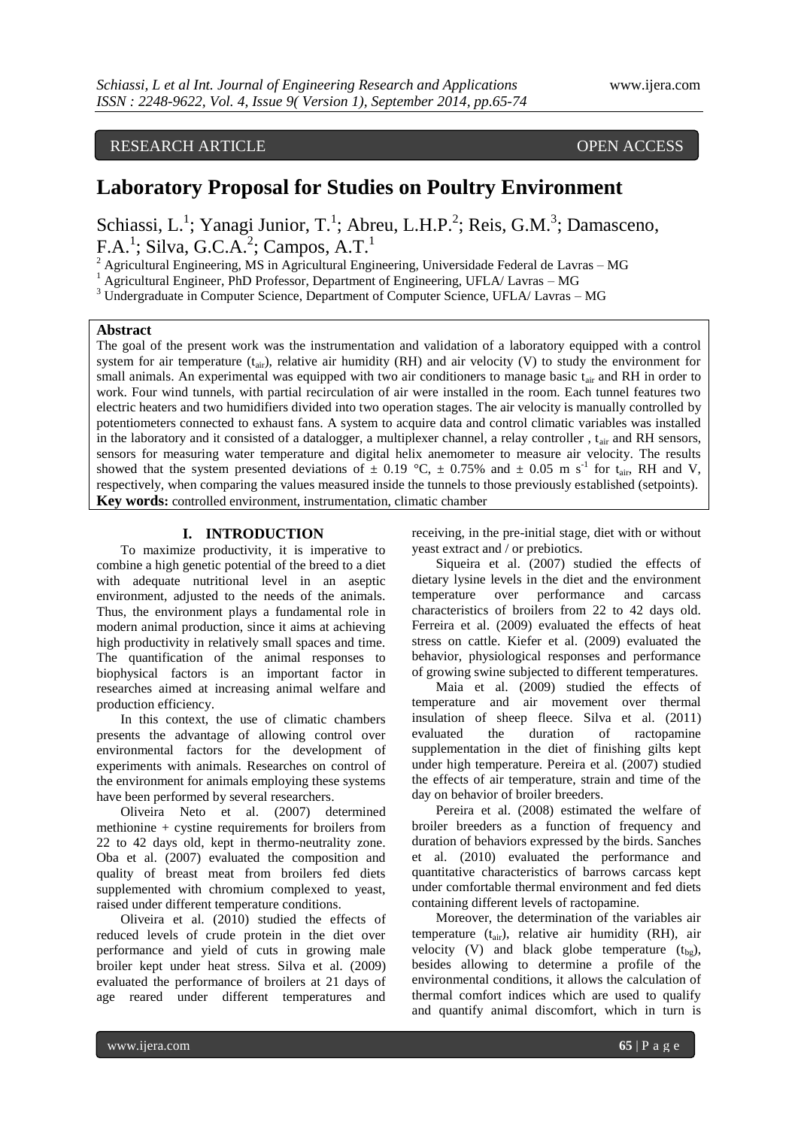# RESEARCH ARTICLE OPEN ACCESS

# **Laboratory Proposal for Studies on Poultry Environment**

Schiassi, L.<sup>1</sup>; Yanagi Junior, T.<sup>1</sup>; Abreu, L.H.P.<sup>2</sup>; Reis, G.M.<sup>3</sup>; Damasceno,  $F.A.$ <sup>1</sup>; Silva, G.C. $A.$ <sup>2</sup>; Campos, A.T.<sup>1</sup>

<sup>2</sup> Agricultural Engineering, MS in Agricultural Engineering, Universidade Federal de Lavras – MG

<sup>1</sup> Agricultural Engineer, PhD Professor, Department of Engineering, UFLA/ Lavras – MG

<sup>3</sup> Undergraduate in Computer Science, Department of Computer Science, UFLA/ Lavras – MG

#### **Abstract**

The goal of the present work was the instrumentation and validation of a laboratory equipped with a control system for air temperature  $(t_{air})$ , relative air humidity (RH) and air velocity (V) to study the environment for small animals. An experimental was equipped with two air conditioners to manage basic  $t_{\text{air}}$  and RH in order to work. Four wind tunnels, with partial recirculation of air were installed in the room. Each tunnel features two electric heaters and two humidifiers divided into two operation stages. The air velocity is manually controlled by potentiometers connected to exhaust fans. A system to acquire data and control climatic variables was installed in the laboratory and it consisted of a datalogger, a multiplexer channel, a relay controller,  $t_{\text{air}}$  and RH sensors, sensors for measuring water temperature and digital helix anemometer to measure air velocity. The results showed that the system presented deviations of  $\pm$  0.19 °C,  $\pm$  0.75% and  $\pm$  0.05 m s<sup>-1</sup> for t<sub>air</sub>, RH and V, respectively, when comparing the values measured inside the tunnels to those previously established (setpoints). **Key words:** controlled environment, instrumentation, climatic chamber

# **I. INTRODUCTION**

To maximize productivity, it is imperative to combine a high genetic potential of the breed to a diet with adequate nutritional level in an aseptic environment, adjusted to the needs of the animals. Thus, the environment plays a fundamental role in modern animal production, since it aims at achieving high productivity in relatively small spaces and time. The quantification of the animal responses to biophysical factors is an important factor in researches aimed at increasing animal welfare and production efficiency.

In this context, the use of climatic chambers presents the advantage of allowing control over environmental factors for the development of experiments with animals. Researches on control of the environment for animals employing these systems have been performed by several researchers.

Oliveira Neto et al. (2007) determined methionine + cystine requirements for broilers from 22 to 42 days old, kept in thermo-neutrality zone. Oba et al. (2007) evaluated the composition and quality of breast meat from broilers fed diets supplemented with chromium complexed to yeast, raised under different temperature conditions.

Oliveira et al. (2010) studied the effects of reduced levels of crude protein in the diet over performance and yield of cuts in growing male broiler kept under heat stress. Silva et al. (2009) evaluated the performance of broilers at 21 days of age reared under different temperatures and

receiving, in the pre-initial stage, diet with or without yeast extract and / or prebiotics.

Siqueira et al. (2007) studied the effects of dietary lysine levels in the diet and the environment temperature over performance and carcass characteristics of broilers from 22 to 42 days old. Ferreira et al. (2009) evaluated the effects of heat stress on cattle. Kiefer et al. (2009) evaluated the behavior, physiological responses and performance of growing swine subjected to different temperatures.

Maia et al. (2009) studied the effects of temperature and air movement over thermal insulation of sheep fleece. Silva et al. (2011) evaluated the duration of ractopamine supplementation in the diet of finishing gilts kept under high temperature. Pereira et al. (2007) studied the effects of air temperature, strain and time of the day on behavior of broiler breeders.

Pereira et al. (2008) estimated the welfare of broiler breeders as a function of frequency and duration of behaviors expressed by the birds. Sanches et al. (2010) evaluated the performance and quantitative characteristics of barrows carcass kept under comfortable thermal environment and fed diets containing different levels of ractopamine.

Moreover, the determination of the variables air temperature  $(t_{air})$ , relative air humidity (RH), air velocity (V) and black globe temperature  $(t_{bg})$ , besides allowing to determine a profile of the environmental conditions, it allows the calculation of thermal comfort indices which are used to qualify and quantify animal discomfort, which in turn is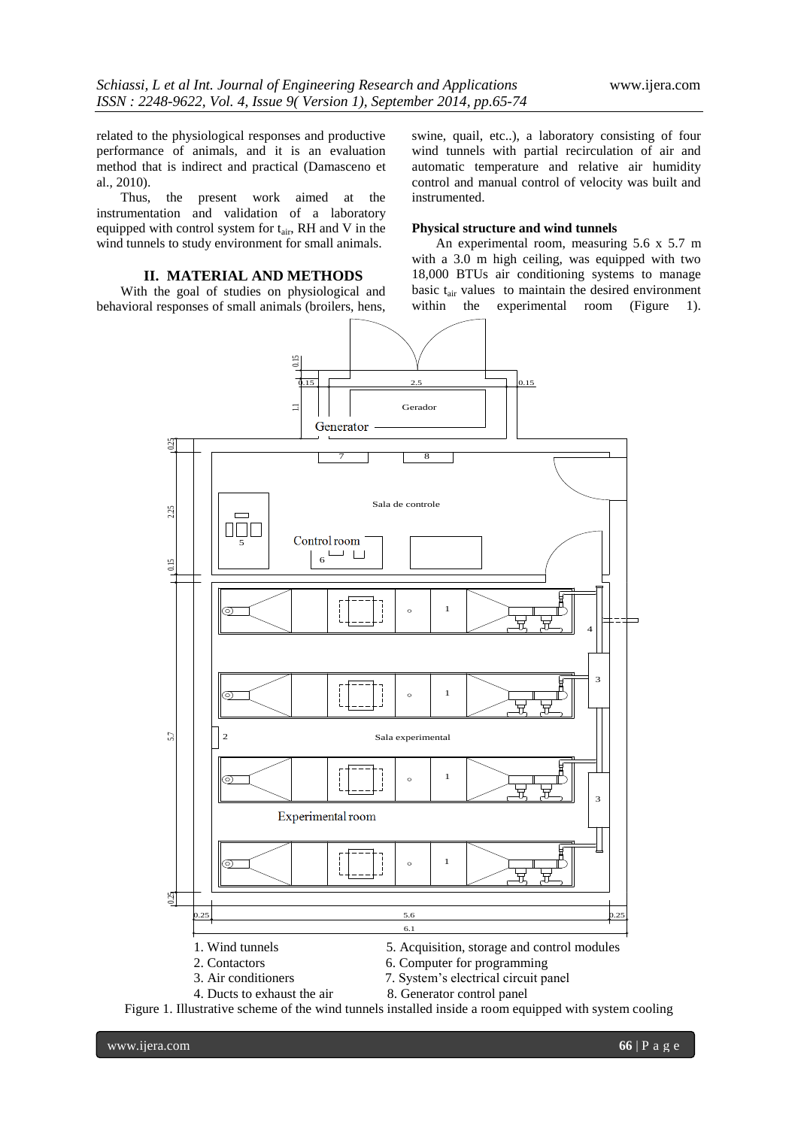related to the physiological responses and productive performance of animals, and it is an evaluation method that is indirect and practical (Damasceno et al., 2010).

Thus, the present work aimed at the instrumentation and validation of a laboratory equipped with control system for  $t_{\text{air}}$ , RH and V in the wind tunnels to study environment for small animals.

## **II. MATERIAL AND METHODS**

With the goal of studies on physiological and behavioral responses of small animals (broilers, hens, swine, quail, etc..), a laboratory consisting of four wind tunnels with partial recirculation of air and automatic temperature and relative air humidity control and manual control of velocity was built and instrumented.

#### **Physical structure and wind tunnels**

An experimental room, measuring 5.6 x 5.7 m with a 3.0 m high ceiling, was equipped with two 18,000 BTUs air conditioning systems to manage basic  $t_{air}$  values to maintain the desired environment within the experimental room (Figure 1). experimental room (Figure 1).

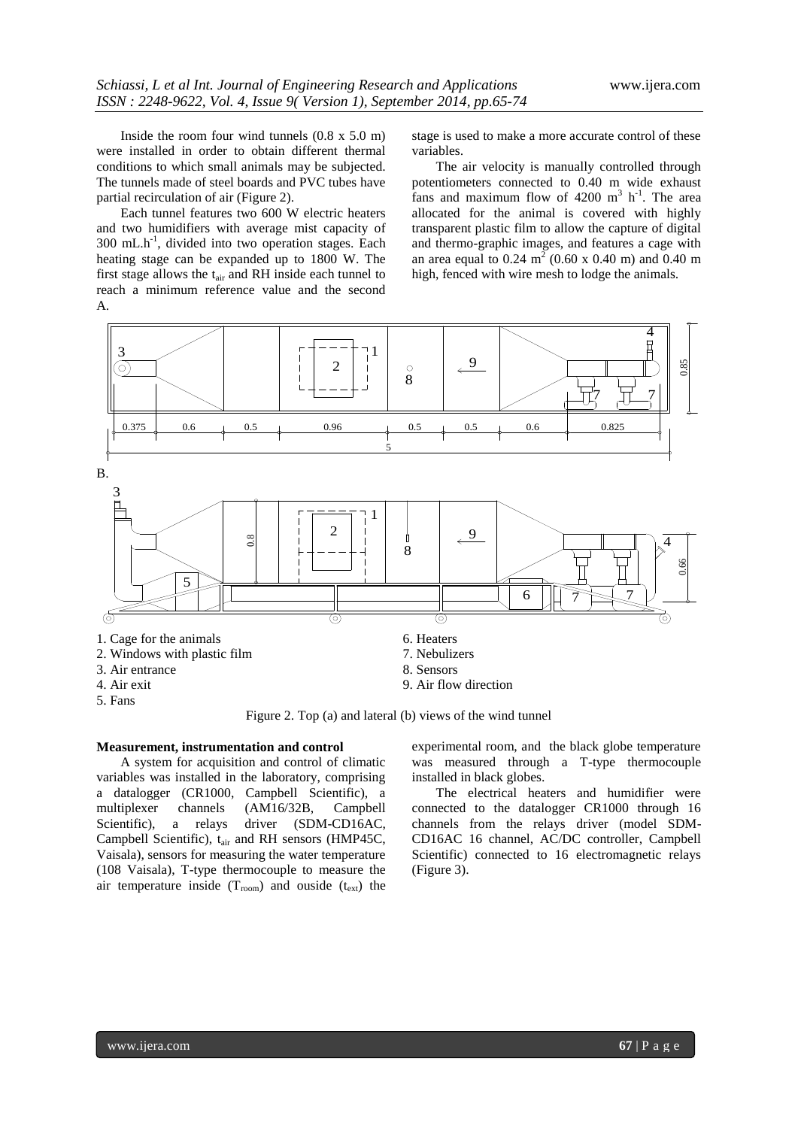Inside the room four wind tunnels (0.8 x 5.0 m) were installed in order to obtain different thermal conditions to which small animals may be subjected. The tunnels made of steel boards and PVC tubes have partial recirculation of air (Figure 2).

Each tunnel features two 600 W electric heaters and two humidifiers with average mist capacity of 300 mL.h -1 , divided into two operation stages. Each heating stage can be expanded up to 1800 W. The first stage allows the  $t_{air}$  and RH inside each tunnel to reach a minimum reference value and the second A.

stage is used to make a more accurate control of these variables.

The air velocity is manually controlled through potentiometers connected to 0.40 m wide exhaust fans and maximum flow of  $4200 \text{ m}^3 \text{ h}^{-1}$ . The area allocated for the animal is covered with highly transparent plastic film to allow the capture of digital and thermo-graphic images, and features a cage with an area equal to 0.24  $m^2$  (0.60 x 0.40 m) and 0.40 m high, fenced with wire mesh to lodge the animals.



Figure 2. Top (a) and lateral (b) views of the wind tunnel

#### **Measurement, instrumentation and control**

A system for acquisition and control of climatic variables was installed in the laboratory, comprising a datalogger (CR1000, Campbell Scientific), a multiplexer channels (AM16/32B, Campbell Scientific), a relays driver (SDM-CD16AC, Campbell Scientific), t<sub>air</sub> and RH sensors (HMP45C, Vaisala), sensors for measuring the water temperature (108 Vaisala), T-type thermocouple to measure the air temperature inside  $(T_{room})$  and ouside  $(t_{ext})$  the

experimental room, and the black globe temperature was measured through a T-type thermocouple installed in black globes.

The electrical heaters and humidifier were connected to the datalogger CR1000 through 16 channels from the relays driver (model SDM-CD16AC 16 channel, AC/DC controller, Campbell Scientific) connected to 16 electromagnetic relays (Figure 3).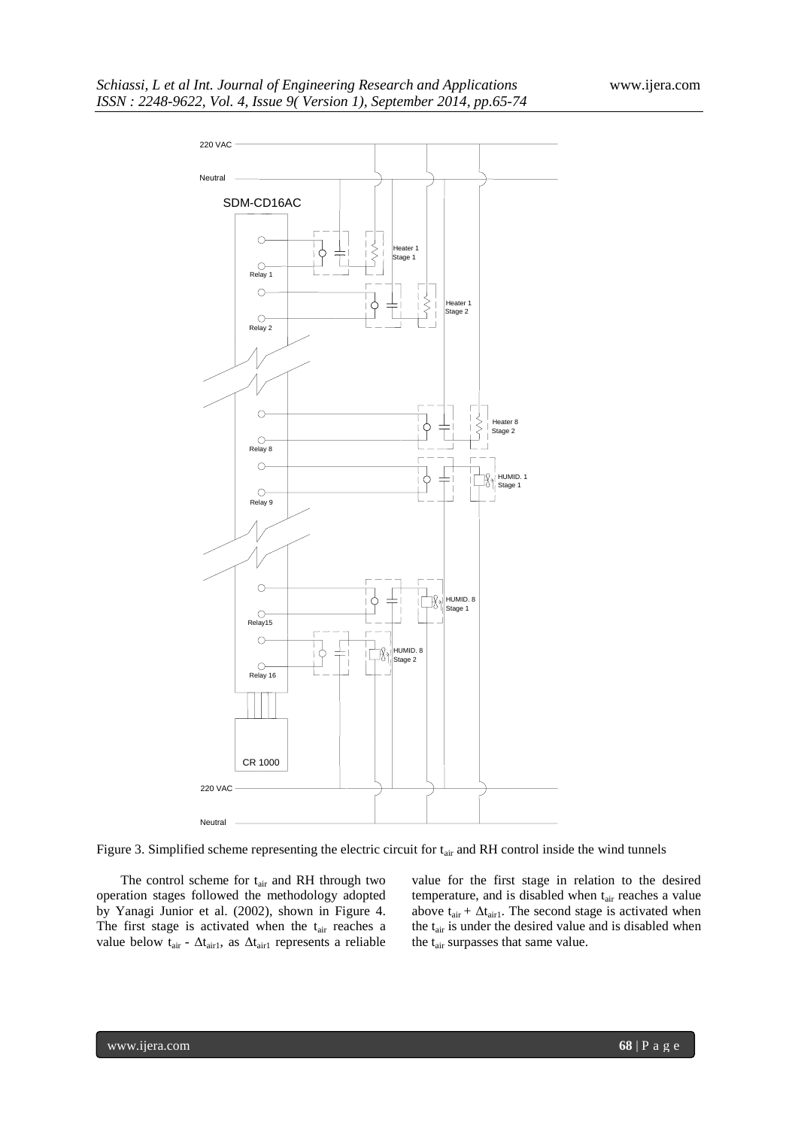

Figure 3. Simplified scheme representing the electric circuit for tair and RH control inside the wind tunnels

The control scheme for t<sub>air</sub> and RH through two operation stages followed the methodology adopted by Yanagi Junior et al. (2002), shown in Figure 4. The first stage is activated when the  $t_{air}$  reaches a value below  $t_{\text{air}}$  -  $\Delta t_{\text{air1}}$ , as  $\Delta t_{\text{air1}}$  represents a reliable value for the first stage in relation to the desired temperature, and is disabled when t<sub>air</sub> reaches a value above  $t_{\text{air}} + \Delta t_{\text{air1}}$ . The second stage is activated when the  $t_{\text{air}}$  is under the desired value and is disabled when the t<sub>air</sub> surpasses that same value.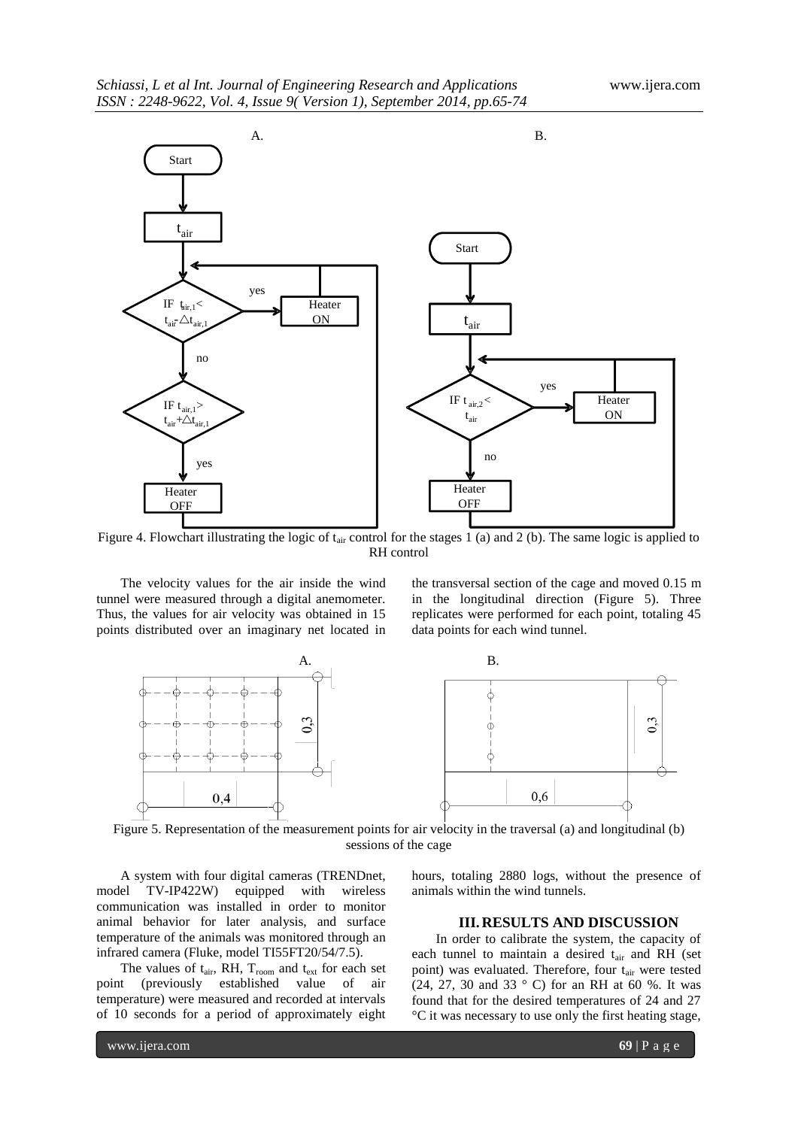

Figure 4. Flowchart illustrating the logic of  $t_{air}$  control for the stages 1 (a) and 2 (b). The same logic is applied to RH control

The velocity values for the air inside the wind tunnel were measured through a digital anemometer. Thus, the values for air velocity was obtained in 15 points distributed over an imaginary net located in

the transversal section of the cage and moved 0.15 m in the longitudinal direction (Figure 5). Three replicates were performed for each point, totaling 45 data points for each wind tunnel.



Figure 5. Representation of the measurement points for air velocity in the traversal (a) and longitudinal (b) sessions of the cage

A system with four digital cameras (TRENDnet, model TV-IP422W) equipped with wireless communication was installed in order to monitor animal behavior for later analysis, and surface temperature of the animals was monitored through an infrared camera (Fluke, model TI55FT20/54/7.5).

The values of  $t_{air}$ , RH,  $T_{room}$  and  $t_{ext}$  for each set point (previously established value of air temperature) were measured and recorded at intervals of 10 seconds for a period of approximately eight

hours, totaling 2880 logs, without the presence of animals within the wind tunnels.

# **III.RESULTS AND DISCUSSION**

In order to calibrate the system, the capacity of each tunnel to maintain a desired  $t_{air}$  and RH (set point) was evaluated. Therefore, four t<sub>air</sub> were tested (24, 27, 30 and 33 ° C) for an RH at 60 %. It was found that for the desired temperatures of 24 and 27 °C it was necessary to use only the first heating stage,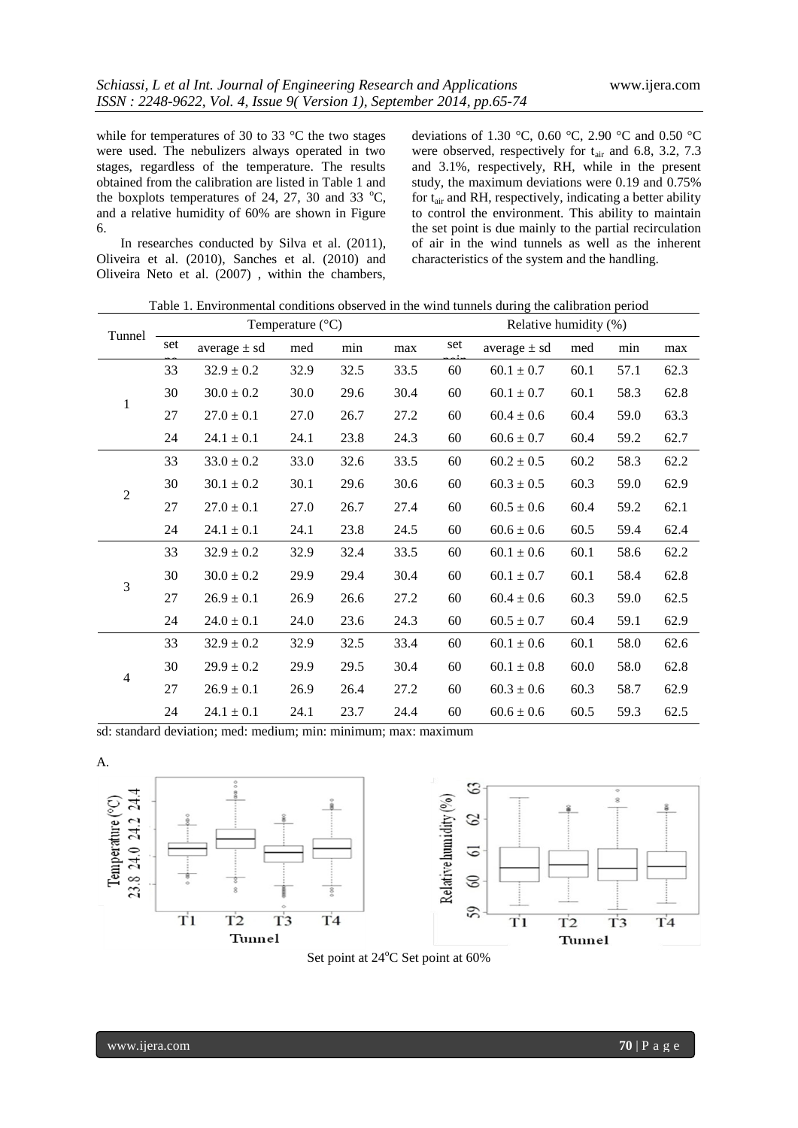while for temperatures of 30 to 33 °C the two stages were used. The nebulizers always operated in two stages, regardless of the temperature. The results obtained from the calibration are listed in Table 1 and the boxplots temperatures of 24, 27, 30 and 33  $^{\circ}$ C, and a relative humidity of 60% are shown in Figure 6.

In researches conducted by Silva et al. (2011), Oliveira et al. (2010), Sanches et al. (2010) and Oliveira Neto et al. (2007) , within the chambers, deviations of 1.30 °C, 0.60 °C, 2.90 °C and 0.50 °C were observed, respectively for  $t_{air}$  and 6.8, 3.2, 7.3 and 3.1%, respectively, RH, while in the present study, the maximum deviations were 0.19 and 0.75% for tair and RH, respectively, indicating a better ability to control the environment. This ability to maintain the set point is due mainly to the partial recirculation of air in the wind tunnels as well as the inherent characteristics of the system and the handling.

Table 1. Environmental conditions observed in the wind tunnels during the calibration period

| Tunnel         | Temperature $(^{\circ}C)$ |                  |      |      |      | Relative humidity (%) |                  |      |      |      |
|----------------|---------------------------|------------------|------|------|------|-----------------------|------------------|------|------|------|
|                | set                       | average $\pm$ sd | med  | min  | max  | set                   | average $\pm$ sd | med  | min  | max  |
| 1              | 33                        | $32.9 \pm 0.2$   | 32.9 | 32.5 | 33.5 | 60                    | $60.1 \pm 0.7$   | 60.1 | 57.1 | 62.3 |
|                | 30                        | $30.0 \pm 0.2$   | 30.0 | 29.6 | 30.4 | 60                    | $60.1 \pm 0.7$   | 60.1 | 58.3 | 62.8 |
|                | 27                        | $27.0 \pm 0.1$   | 27.0 | 26.7 | 27.2 | 60                    | $60.4 \pm 0.6$   | 60.4 | 59.0 | 63.3 |
|                | 24                        | $24.1 \pm 0.1$   | 24.1 | 23.8 | 24.3 | 60                    | $60.6 \pm 0.7$   | 60.4 | 59.2 | 62.7 |
| $\overline{2}$ | 33                        | $33.0 \pm 0.2$   | 33.0 | 32.6 | 33.5 | 60                    | $60.2 \pm 0.5$   | 60.2 | 58.3 | 62.2 |
|                | 30                        | $30.1 \pm 0.2$   | 30.1 | 29.6 | 30.6 | 60                    | $60.3 \pm 0.5$   | 60.3 | 59.0 | 62.9 |
|                | 27                        | $27.0 \pm 0.1$   | 27.0 | 26.7 | 27.4 | 60                    | $60.5 \pm 0.6$   | 60.4 | 59.2 | 62.1 |
|                | 24                        | $24.1 \pm 0.1$   | 24.1 | 23.8 | 24.5 | 60                    | $60.6 \pm 0.6$   | 60.5 | 59.4 | 62.4 |
| 3              | 33                        | $32.9 \pm 0.2$   | 32.9 | 32.4 | 33.5 | 60                    | $60.1 \pm 0.6$   | 60.1 | 58.6 | 62.2 |
|                | 30                        | $30.0 \pm 0.2$   | 29.9 | 29.4 | 30.4 | 60                    | $60.1 \pm 0.7$   | 60.1 | 58.4 | 62.8 |
|                | 27                        | $26.9 \pm 0.1$   | 26.9 | 26.6 | 27.2 | 60                    | $60.4 \pm 0.6$   | 60.3 | 59.0 | 62.5 |
|                | 24                        | $24.0 \pm 0.1$   | 24.0 | 23.6 | 24.3 | 60                    | $60.5 \pm 0.7$   | 60.4 | 59.1 | 62.9 |
| $\overline{4}$ | 33                        | $32.9 \pm 0.2$   | 32.9 | 32.5 | 33.4 | 60                    | $60.1 \pm 0.6$   | 60.1 | 58.0 | 62.6 |
|                | 30                        | $29.9 \pm 0.2$   | 29.9 | 29.5 | 30.4 | 60                    | $60.1 \pm 0.8$   | 60.0 | 58.0 | 62.8 |
|                | 27                        | $26.9 \pm 0.1$   | 26.9 | 26.4 | 27.2 | 60                    | $60.3 \pm 0.6$   | 60.3 | 58.7 | 62.9 |
|                | 24                        | $24.1 \pm 0.1$   | 24.1 | 23.7 | 24.4 | 60                    | $60.6 \pm 0.6$   | 60.5 | 59.3 | 62.5 |

sd: standard deviation; med: medium; min: minimum; max: maximum

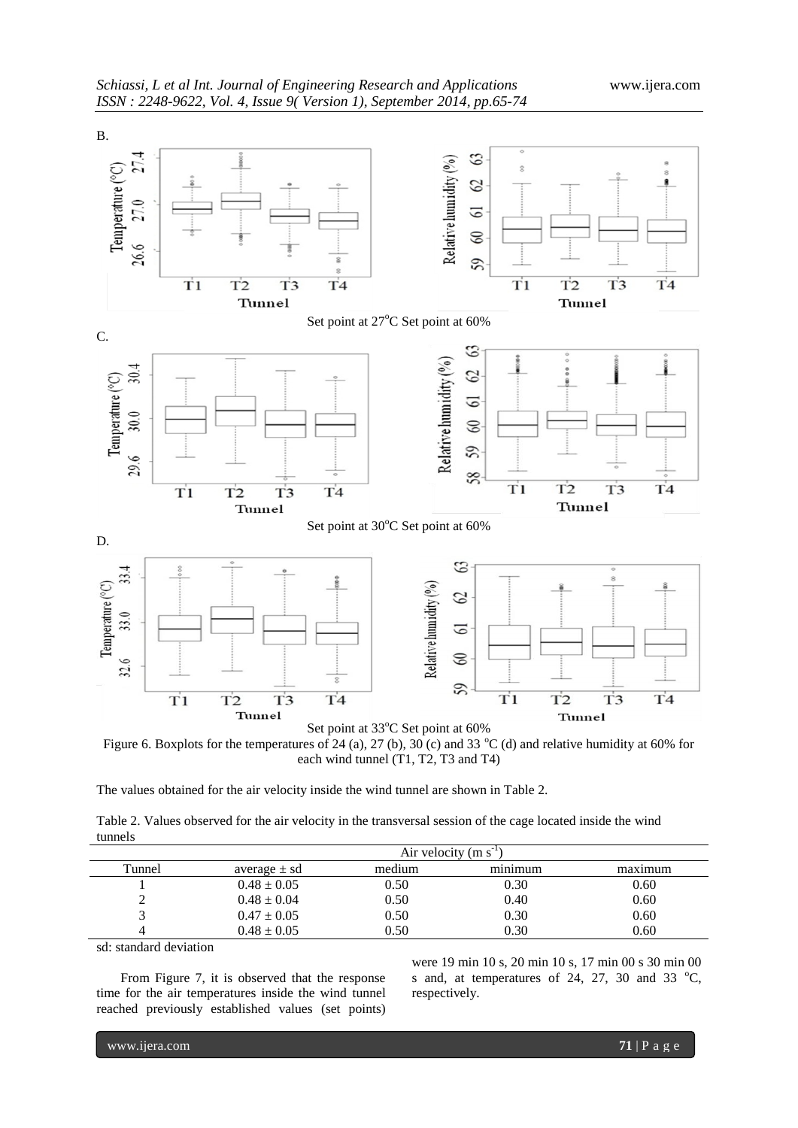

Figure 6. Boxplots for the temperatures of 24 (a), 27 (b), 30 (c) and 33  $^{\circ}$ C (d) and relative humidity at 60% for each wind tunnel (T1, T2, T3 and T4)

The values obtained for the air velocity inside the wind tunnel are shown in Table 2.

Table 2. Values observed for the air velocity in the transversal session of the cage located inside the wind tunnels

|        | Air velocity $(m s-1)$ |        |                            |         |  |  |  |  |  |
|--------|------------------------|--------|----------------------------|---------|--|--|--|--|--|
| Tunnel | average $\pm$ sd       | medium | $\cdot$ $\cdot$<br>minimum | maximum |  |  |  |  |  |
|        | $0.48 \pm 0.05$        | 0.50   | 0.30                       | 0.60    |  |  |  |  |  |
| ∠      | $0.48 \pm 0.04$        | 0.50   | 0.40                       | 0.60    |  |  |  |  |  |
|        | $0.47 \pm 0.05$        | 0.50   | 0.30                       | 0.60    |  |  |  |  |  |
|        | $0.48 \pm 0.05$        | 0.50   | 0.30                       | 0.60    |  |  |  |  |  |

sd: standard deviation

From Figure 7, it is observed that the response time for the air temperatures inside the wind tunnel reached previously established values (set points) were 19 min 10 s, 20 min 10 s, 17 min 00 s 30 min 00 s and, at temperatures of 24, 27, 30 and 33  $^{\circ}$ C, respectively.

www.ijera.com **71** | P a g e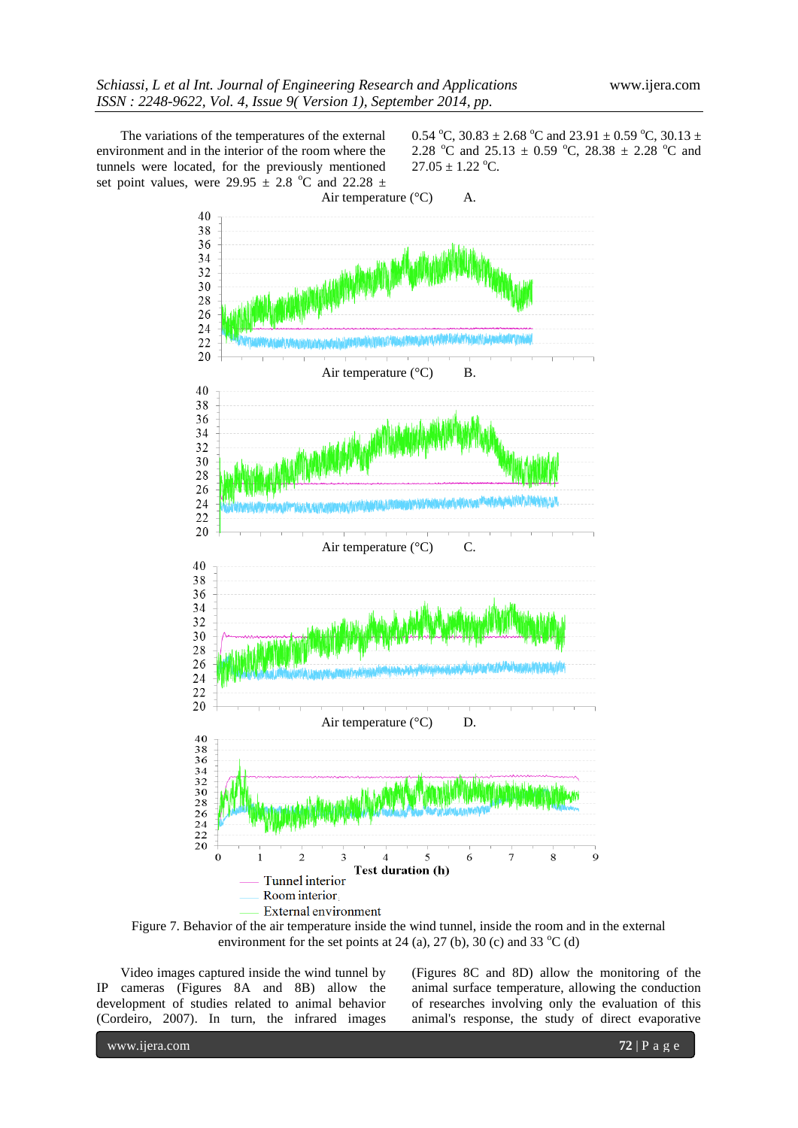The variations of the temperatures of the external environment and in the interior of the room where the tunnels were located, for the previously mentioned set point values, were 29.95  $\pm$  2.8 °C and 22.28  $\pm$  0.54 °C, 30.83  $\pm$  2.68 °C and 23.91  $\pm$  0.59 °C, 30.13  $\pm$ 2.28 °C and 25.13  $\pm$  0.59 °C, 28.38  $\pm$  2.28 °C and  $27.05 \pm 1.22$  °C.



Figure 7. Behavior of the air temperature inside the wind tunnel, inside the room and in the external environment for the set points at 24 (a), 27 (b), 30 (c) and 33  $^{\circ}$ C (d)

Video images captured inside the wind tunnel by IP cameras (Figures 8A and 8B) allow the development of studies related to animal behavior (Cordeiro, 2007). In turn, the infrared images (Figures 8C and 8D) allow the monitoring of the animal surface temperature, allowing the conduction of researches involving only the evaluation of this animal's response, the study of direct evaporative

www.ijera.com **72** | P a g e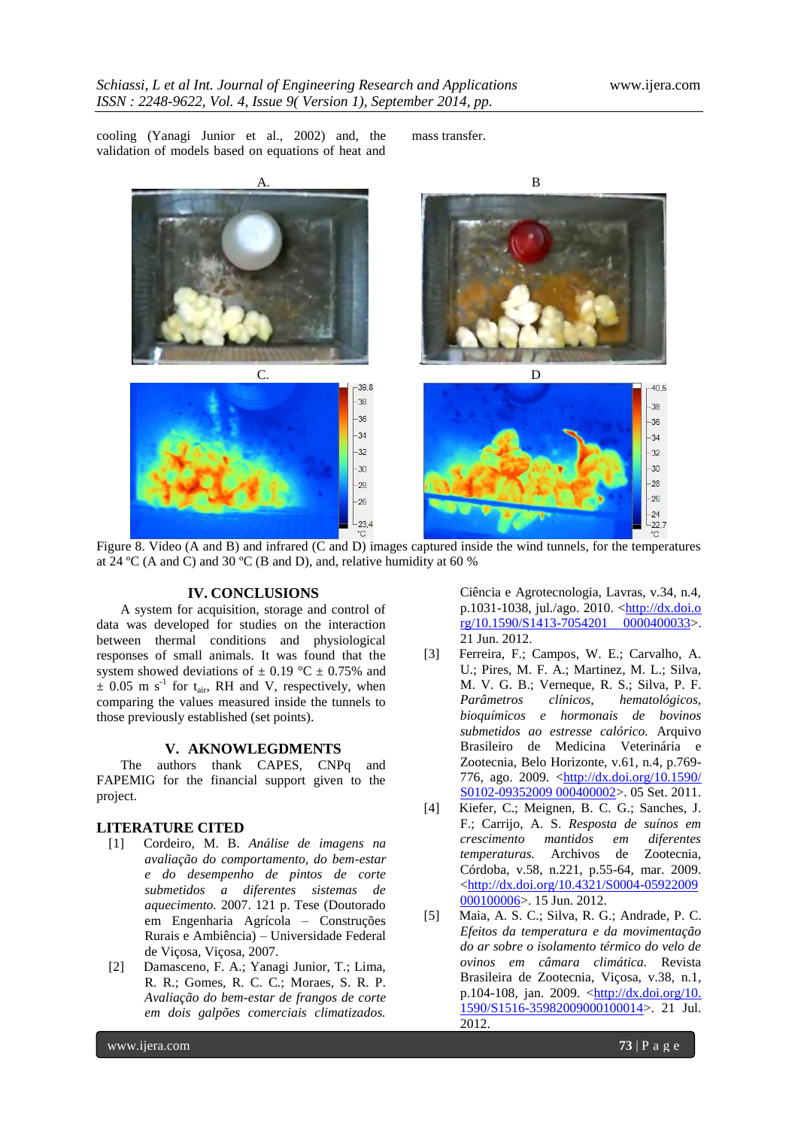cooling (Yanagi Junior et al., 2002) and, the validation of models based on equations of heat and

mass transfer.



Figure 8. Video (A and B) and infrared (C and D) images captured inside the wind tunnels, for the temperatures at 24 °C (A and C) and 30 °C (B and D), and, relative humidity at 60 %

#### **IV. CONCLUSIONS**

A system for acquisition, storage and control of data was developed for studies on the interaction between thermal conditions and physiological responses of small animals. It was found that the system showed deviations of  $\pm$  0.19 °C  $\pm$  0.75% and  $\pm$  0.05 m s<sup>-1</sup> for t<sub>air</sub>, RH and V, respectively, when comparing the values measured inside the tunnels to those previously established (set points).

### **V. AKNOWLEGDMENTS**

The authors thank CAPES, CNPq and FAPEMIG for the financial support given to the project.

### **LITERATURE CITED**

- [1] Cordeiro, M. B. *Análise de imagens na avaliação do comportamento, do bem-estar e do desempenho de pintos de corte submetidos a diferentes sistemas de aquecimento.* 2007. 121 p. Tese (Doutorado em Engenharia Agrícola – Construções Rurais e Ambiência) – Universidade Federal de Viçosa, Viçosa, 2007.
- [2] Damasceno, F. A.; Yanagi Junior, T.; Lima, R. R.; Gomes, R. C. C.; Moraes, S. R. P. *Avaliação do bem-estar de frangos de corte em dois galpões comerciais climatizados.*

Ciência e Agrotecnologia, Lavras, v.34, n.4, p.1031-1038, jul./ago. 2010. <http://dx.doi.o rg/10.1590/S1413-7054201 0000400033>. 21 Jun. 2012.

- [3] Ferreira, F.; Campos, W. E.; Carvalho, A. U.; Pires, M. F. A.; Martinez, M. L.; Silva, M. V. G. B.; Verneque, R. S.; Silva, P. F. *Parâmetros clínicos, hematológicos, bioquímicos e hormonais de bovinos submetidos ao estresse calórico.* Arquivo Brasileiro de Medicina Veterinária e Zootecnia, Belo Horizonte, v.61, n.4, p.769- 776, ago. 2009. <<u>http://dx.doi.org/10.1590/</u> [S0102-09352009 000400002>](http://dx.doi.org/10.1590/%20S0102-09352009%20000400002). 05 Set. 2011.
- [4] Kiefer, C.; Meignen, B. C. G.; Sanches, J. F.; Carrijo, A. S. *Resposta de suínos em crescimento mantidos em diferentes temperaturas.* Archivos de Zootecnia, Córdoba, v.58, n.221, p.55-64, mar. 2009. [<http://dx.doi.org/10.4321/S0004-05922009](http://dx.doi.org/10.4321/S0004-05922009%20000100006)  [000100006>](http://dx.doi.org/10.4321/S0004-05922009%20000100006). 15 Jun. 2012.
- [5] Maia, A. S. C.; Silva, R. G.; Andrade, P. C. *Efeitos da temperatura e da movimentação do ar sobre o isolamento térmico do velo de ovinos em câmara climática.* Revista Brasileira de Zootecnia, Viçosa, v.38, n.1, p.104-108, jan. 2009.  $\frac{\text{http://dx.doi.org/10.}}{$ [1590/S1516-35982009000100014>](http://dx.doi.org/10.%201590/S1516-35982009000100014). 21 Jul. 2012.